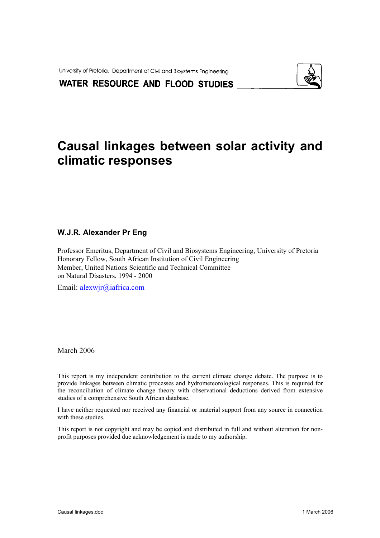University of Pretoria, Department of Civil and Bioystems Engineering



WATER RESOURCE AND FLOOD STUDIES

# **Causal linkages between solar activity and climatic responses**

#### **W.J.R. Alexander Pr Eng**

Professor Emeritus, Department of Civil and Biosystems Engineering, University of Pretoria Honorary Fellow, South African Institution of Civil Engineering Member, United Nations Scientific and Technical Committee on Natural Disasters, 1994 - 2000

Email: [alexwjr@iafrica.com](mailto:alexwjr@iafrica.com)

March 2006

This report is my independent contribution to the current climate change debate. The purpose is to provide linkages between climatic processes and hydrometeorological responses. This is required for the reconciliation of climate change theory with observational deductions derived from extensive studies of a comprehensive South African database.

I have neither requested nor received any financial or material support from any source in connection with these studies

This report is not copyright and may be copied and distributed in full and without alteration for nonprofit purposes provided due acknowledgement is made to my authorship.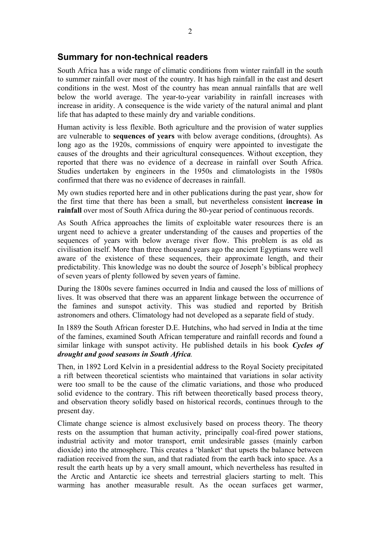#### **Summary for non-technical readers**

South Africa has a wide range of climatic conditions from winter rainfall in the south to summer rainfall over most of the country. It has high rainfall in the east and desert conditions in the west. Most of the country has mean annual rainfalls that are well below the world average. The year-to-year variability in rainfall increases with increase in aridity. A consequence is the wide variety of the natural animal and plant life that has adapted to these mainly dry and variable conditions.

Human activity is less flexible. Both agriculture and the provision of water supplies are vulnerable to **sequences of years** with below average conditions, (droughts). As long ago as the 1920s, commissions of enquiry were appointed to investigate the causes of the droughts and their agricultural consequences. Without exception, they reported that there was no evidence of a decrease in rainfall over South Africa. Studies undertaken by engineers in the 1950s and climatologists in the 1980s confirmed that there was no evidence of decreases in rainfall.

My own studies reported here and in other publications during the past year, show for the first time that there has been a small, but nevertheless consistent **increase in rainfall** over most of South Africa during the 80-year period of continuous records.

As South Africa approaches the limits of exploitable water resources there is an urgent need to achieve a greater understanding of the causes and properties of the sequences of years with below average river flow. This problem is as old as civilisation itself. More than three thousand years ago the ancient Egyptians were well aware of the existence of these sequences, their approximate length, and their predictability. This knowledge was no doubt the source of Joseph's biblical prophecy of seven years of plenty followed by seven years of famine.

During the 1800s severe famines occurred in India and caused the loss of millions of lives. It was observed that there was an apparent linkage between the occurrence of the famines and sunspot activity. This was studied and reported by British astronomers and others. Climatology had not developed as a separate field of study.

In 1889 the South African forester D.E. Hutchins, who had served in India at the time of the famines, examined South African temperature and rainfall records and found a similar linkage with sunspot activity. He published details in his book *Cycles of drought and good seasons in South Africa.*

Then, in 1892 Lord Kelvin in a presidential address to the Royal Society precipitated a rift between theoretical scientists who maintained that variations in solar activity were too small to be the cause of the climatic variations, and those who produced solid evidence to the contrary. This rift between theoretically based process theory, and observation theory solidly based on historical records, continues through to the present day.

Climate change science is almost exclusively based on process theory. The theory rests on the assumption that human activity, principally coal-fired power stations, industrial activity and motor transport, emit undesirable gasses (mainly carbon dioxide) into the atmosphere. This creates a 'blanket' that upsets the balance between radiation received from the sun, and that radiated from the earth back into space. As a result the earth heats up by a very small amount, which nevertheless has resulted in the Arctic and Antarctic ice sheets and terrestrial glaciers starting to melt. This warming has another measurable result. As the ocean surfaces get warmer,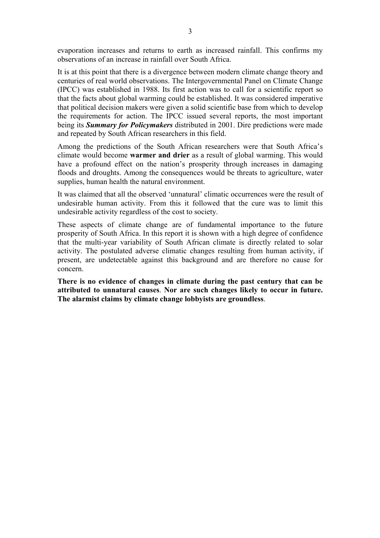evaporation increases and returns to earth as increased rainfall. This confirms my observations of an increase in rainfall over South Africa.

It is at this point that there is a divergence between modern climate change theory and centuries of real world observations. The Intergovernmental Panel on Climate Change (IPCC) was established in 1988. Its first action was to call for a scientific report so that the facts about global warming could be established. It was considered imperative that political decision makers were given a solid scientific base from which to develop the requirements for action. The IPCC issued several reports, the most important being its *Summary for Policymakers* distributed in 2001. Dire predictions were made and repeated by South African researchers in this field.

Among the predictions of the South African researchers were that South Africa's climate would become **warmer and drier** as a result of global warming. This would have a profound effect on the nation's prosperity through increases in damaging floods and droughts. Among the consequences would be threats to agriculture, water supplies, human health the natural environment.

It was claimed that all the observed 'unnatural' climatic occurrences were the result of undesirable human activity. From this it followed that the cure was to limit this undesirable activity regardless of the cost to society.

These aspects of climate change are of fundamental importance to the future prosperity of South Africa. In this report it is shown with a high degree of confidence that the multi-year variability of South African climate is directly related to solar activity. The postulated adverse climatic changes resulting from human activity, if present, are undetectable against this background and are therefore no cause for concern.

**There is no evidence of changes in climate during the past century that can be attributed to unnatural causes**. **Nor are such changes likely to occur in future. The alarmist claims by climate change lobbyists are groundless**.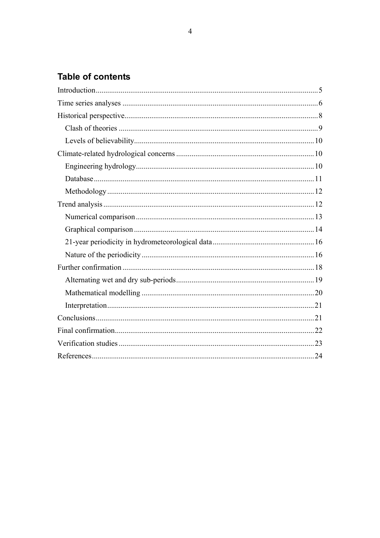## **Table of contents**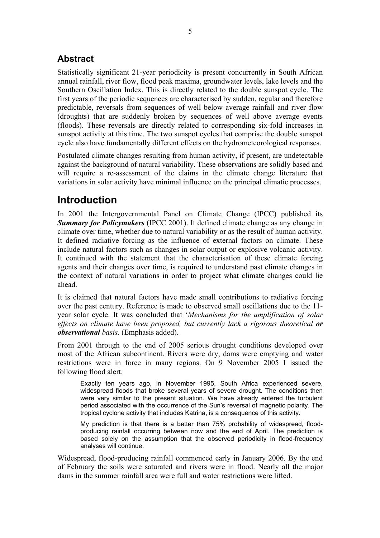## <span id="page-4-0"></span>**Abstract**

Statistically significant 21-year periodicity is present concurrently in South African annual rainfall, river flow, flood peak maxima, groundwater levels, lake levels and the Southern Oscillation Index. This is directly related to the double sunspot cycle. The first years of the periodic sequences are characterised by sudden, regular and therefore predictable, reversals from sequences of well below average rainfall and river flow (droughts) that are suddenly broken by sequences of well above average events (floods). These reversals are directly related to corresponding six-fold increases in sunspot activity at this time. The two sunspot cycles that comprise the double sunspot cycle also have fundamentally different effects on the hydrometeorological responses.

Postulated climate changes resulting from human activity, if present, are undetectable against the background of natural variability. These observations are solidly based and will require a re-assessment of the claims in the climate change literature that variations in solar activity have minimal influence on the principal climatic processes.

## **Introduction**

In 2001 the Intergovernmental Panel on Climate Change (IPCC) published its *Summary for Policymakers* (IPCC 2001). It defined climate change as any change in climate over time, whether due to natural variability or as the result of human activity. It defined radiative forcing as the influence of external factors on climate. These include natural factors such as changes in solar output or explosive volcanic activity. It continued with the statement that the characterisation of these climate forcing agents and their changes over time, is required to understand past climate changes in the context of natural variations in order to project what climate changes could lie ahead.

It is claimed that natural factors have made small contributions to radiative forcing over the past century. Reference is made to observed small oscillations due to the 11 year solar cycle. It was concluded that '*Mechanisms for the amplification of solar effects on climate have been proposed, but currently lack a rigorous theoretical or observational basis.* (Emphasis added).

From 2001 through to the end of 2005 serious drought conditions developed over most of the African subcontinent. Rivers were dry, dams were emptying and water restrictions were in force in many regions. On 9 November 2005 I issued the following flood alert.

Exactly ten years ago, in November 1995, South Africa experienced severe, widespread floods that broke several years of severe drought. The conditions then were very similar to the present situation. We have already entered the turbulent period associated with the occurrence of the Sun's reversal of magnetic polarity. The tropical cyclone activity that includes Katrina, is a consequence of this activity.

My prediction is that there is a better than 75% probability of widespread, floodproducing rainfall occurring between now and the end of April. The prediction is based solely on the assumption that the observed periodicity in flood-frequency analyses will continue.

Widespread, flood-producing rainfall commenced early in January 2006. By the end of February the soils were saturated and rivers were in flood. Nearly all the major dams in the summer rainfall area were full and water restrictions were lifted.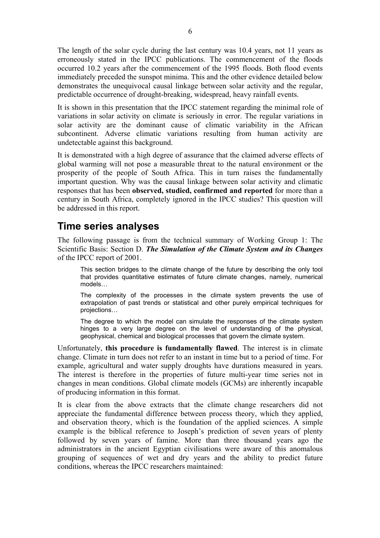<span id="page-5-0"></span>The length of the solar cycle during the last century was 10.4 years, not 11 years as erroneously stated in the IPCC publications. The commencement of the floods occurred 10.2 years after the commencement of the 1995 floods. Both flood events immediately preceded the sunspot minima. This and the other evidence detailed below demonstrates the unequivocal causal linkage between solar activity and the regular, predictable occurrence of drought-breaking, widespread, heavy rainfall events.

It is shown in this presentation that the IPCC statement regarding the minimal role of variations in solar activity on climate is seriously in error. The regular variations in solar activity are the dominant cause of climatic variability in the African subcontinent. Adverse climatic variations resulting from human activity are undetectable against this background.

It is demonstrated with a high degree of assurance that the claimed adverse effects of global warming will not pose a measurable threat to the natural environment or the prosperity of the people of South Africa. This in turn raises the fundamentally important question. Why was the causal linkage between solar activity and climatic responses that has been **observed, studied, confirmed and reported** for more than a century in South Africa, completely ignored in the IPCC studies? This question will be addressed in this report.

## **Time series analyses**

The following passage is from the technical summary of Working Group 1: The Scientific Basis: Section D. *The Simulation of the Climate System and its Changes* of the IPCC report of 2001.

This section bridges to the climate change of the future by describing the only tool that provides quantitative estimates of future climate changes, namely, numerical models…

The complexity of the processes in the climate system prevents the use of extrapolation of past trends or statistical and other purely empirical techniques for projections…

The degree to which the model can simulate the responses of the climate system hinges to a very large degree on the level of understanding of the physical, geophysical, chemical and biological processes that govern the climate system.

Unfortunately, **this procedure is fundamentally flawed**. The interest is in climate change. Climate in turn does not refer to an instant in time but to a period of time. For example, agricultural and water supply droughts have durations measured in years. The interest is therefore in the properties of future multi-year time series not in changes in mean conditions. Global climate models (GCMs) are inherently incapable of producing information in this format.

It is clear from the above extracts that the climate change researchers did not appreciate the fundamental difference between process theory, which they applied, and observation theory, which is the foundation of the applied sciences. A simple example is the biblical reference to Joseph's prediction of seven years of plenty followed by seven years of famine. More than three thousand years ago the administrators in the ancient Egyptian civilisations were aware of this anomalous grouping of sequences of wet and dry years and the ability to predict future conditions, whereas the IPCC researchers maintained: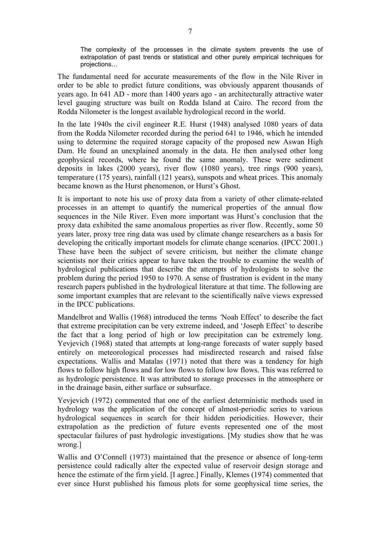The complexity of the processes in the climate system prevents the use of extrapolation of past trends or statistical and other purely empirical techniques for projections…

The fundamental need for accurate measurements of the flow in the Nile River in order to be able to predict future conditions, was obviously apparent thousands of years ago. In 641 AD - more than 1400 years ago - an architecturally attractive water level gauging structure was built on Rodda Island at Cairo. The record from the Rodda Nilometer is the longest available hydrological record in the world.

In the late 1940s the civil engineer R.E. Hurst (1948) analysed 1080 years of data from the Rodda Nilometer recorded during the period 641 to 1946, which he intended using to determine the required storage capacity of the proposed new Aswan High Dam. He found an unexplained anomaly in the data. He then analysed other long geophysical records, where he found the same anomaly. These were sediment deposits in lakes (2000 years), river flow (1080 years), tree rings (900 years), temperature (175 years), rainfall (121 years), sunspots and wheat prices. This anomaly became known as the Hurst phenomenon, or Hurst's Ghost.

It is important to note his use of proxy data from a variety of other climate-related processes in an attempt to quantify the numerical properties of the annual flow sequences in the Nile River. Even more important was Hurst's conclusion that the proxy data exhibited the same anomalous properties as river flow. Recently, some 50 years later, proxy tree ring data was used by climate change researchers as a basis for developing the critically important models for climate change scenarios. (IPCC 2001.) These have been the subject of severe criticism, but neither the climate change scientists nor their critics appear to have taken the trouble to examine the wealth of hydrological publications that describe the attempts of hydrologists to solve the problem during the period 1950 to 1970. A sense of frustration is evident in the many research papers published in the hydrological literature at that time. The following are some important examples that are relevant to the scientifically naïve views expressed in the IPCC publications.

Mandelbrot and Wallis (1968) introduced the terms *'*Noah Effect' to describe the fact that extreme precipitation can be very extreme indeed, and 'Joseph Effect' to describe the fact that a long period of high or low precipitation can be extremely long. Yevjevich (1968) stated that attempts at long-range forecasts of water supply based entirely on meteorological processes had misdirected research and raised false expectations. Wallis and Matalas (1971) noted that there was a tendency for high flows to follow high flows and for low flows to follow low flows. This was referred to as hydrologic persistence. It was attributed to storage processes in the atmosphere or in the drainage basin, either surface or subsurface.

Yevjevich (1972) commented that one of the earliest deterministic methods used in hydrology was the application of the concept of almost-periodic series to various hydrological sequences in search for their hidden periodicities. However, their extrapolation as the prediction of future events represented one of the most spectacular failures of past hydrologic investigations. [My studies show that he was wrong.]

Wallis and O'Connell (1973) maintained that the presence or absence of long-term persistence could radically alter the expected value of reservoir design storage and hence the estimate of the firm yield. [I agree.] Finally, Klemes (1974) commented that ever since Hurst published his famous plots for some geophysical time series, the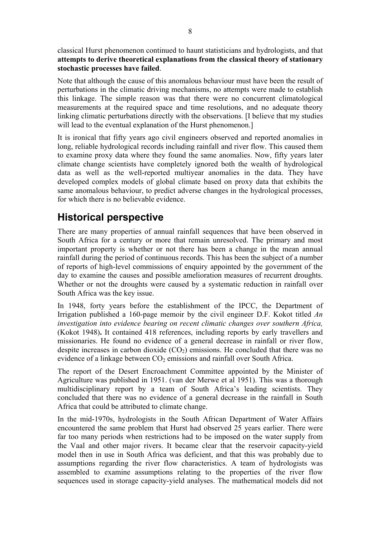<span id="page-7-0"></span>classical Hurst phenomenon continued to haunt statisticians and hydrologists, and that **attempts to derive theoretical explanations from the classical theory of stationary stochastic processes have failed**.

Note that although the cause of this anomalous behaviour must have been the result of perturbations in the climatic driving mechanisms, no attempts were made to establish this linkage. The simple reason was that there were no concurrent climatological measurements at the required space and time resolutions, and no adequate theory linking climatic perturbations directly with the observations. [I believe that my studies will lead to the eventual explanation of the Hurst phenomenon.]

It is ironical that fifty years ago civil engineers observed and reported anomalies in long, reliable hydrological records including rainfall and river flow. This caused them to examine proxy data where they found the same anomalies. Now, fifty years later climate change scientists have completely ignored both the wealth of hydrological data as well as the well-reported multiyear anomalies in the data. They have developed complex models of global climate based on proxy data that exhibits the same anomalous behaviour, to predict adverse changes in the hydrological processes, for which there is no believable evidence.

## **Historical perspective**

There are many properties of annual rainfall sequences that have been observed in South Africa for a century or more that remain unresolved. The primary and most important property is whether or not there has been a change in the mean annual rainfall during the period of continuous records. This has been the subject of a number of reports of high-level commissions of enquiry appointed by the government of the day to examine the causes and possible amelioration measures of recurrent droughts. Whether or not the droughts were caused by a systematic reduction in rainfall over South Africa was the key issue.

In 1948, forty years before the establishment of the IPCC, the Department of Irrigation published a 160-page memoir by the civil engineer D.F. Kokot titled *An investigation into evidence bearing on recent climatic changes over southern Africa,* (Kokot 1948)**.** It contained 418 references, including reports by early travellers and missionaries. He found no evidence of a general decrease in rainfall or river flow, despite increases in carbon dioxide  $(CO<sub>2</sub>)$  emissions. He concluded that there was no evidence of a linkage between  $CO<sub>2</sub>$  emissions and rainfall over South Africa.

The report of the Desert Encroachment Committee appointed by the Minister of Agriculture was published in 1951. (van der Merwe et al 1951). This was a thorough multidisciplinary report by a team of South Africa's leading scientists. They concluded that there was no evidence of a general decrease in the rainfall in South Africa that could be attributed to climate change.

In the mid-1970s, hydrologists in the South African Department of Water Affairs encountered the same problem that Hurst had observed 25 years earlier. There were far too many periods when restrictions had to be imposed on the water supply from the Vaal and other major rivers. It became clear that the reservoir capacity-yield model then in use in South Africa was deficient, and that this was probably due to assumptions regarding the river flow characteristics. A team of hydrologists was assembled to examine assumptions relating to the properties of the river flow sequences used in storage capacity-yield analyses. The mathematical models did not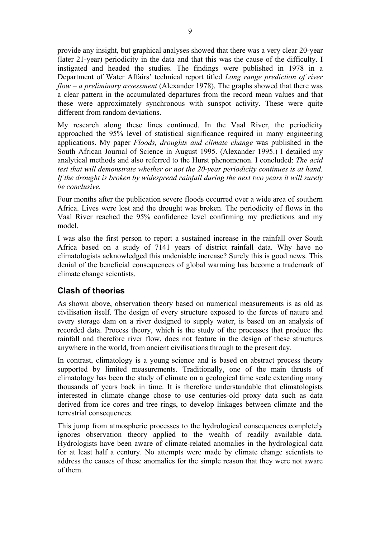<span id="page-8-0"></span>provide any insight, but graphical analyses showed that there was a very clear 20-year (later 21-year) periodicity in the data and that this was the cause of the difficulty. I instigated and headed the studies. The findings were published in 1978 in a Department of Water Affairs' technical report titled *Long range prediction of river flow – a preliminary assessment* (Alexander 1978). The graphs showed that there was a clear pattern in the accumulated departures from the record mean values and that these were approximately synchronous with sunspot activity. These were quite different from random deviations.

My research along these lines continued. In the Vaal River, the periodicity approached the 95% level of statistical significance required in many engineering applications. My paper *Floods, droughts and climate change* was published in the South African Journal of Science in August 1995. (Alexander 1995.) I detailed my analytical methods and also referred to the Hurst phenomenon. I concluded: *The acid test that will demonstrate whether or not the 20-year periodicity continues is at hand. If the drought is broken by widespread rainfall during the next two years it will surely be conclusive.* 

Four months after the publication severe floods occurred over a wide area of southern Africa. Lives were lost and the drought was broken. The periodicity of flows in the Vaal River reached the 95% confidence level confirming my predictions and my model.

I was also the first person to report a sustained increase in the rainfall over South Africa based on a study of 7141 years of district rainfall data. Why have no climatologists acknowledged this undeniable increase? Surely this is good news. This denial of the beneficial consequences of global warming has become a trademark of climate change scientists.

### **Clash of theories**

As shown above, observation theory based on numerical measurements is as old as civilisation itself. The design of every structure exposed to the forces of nature and every storage dam on a river designed to supply water, is based on an analysis of recorded data. Process theory, which is the study of the processes that produce the rainfall and therefore river flow, does not feature in the design of these structures anywhere in the world, from ancient civilisations through to the present day.

In contrast, climatology is a young science and is based on abstract process theory supported by limited measurements. Traditionally, one of the main thrusts of climatology has been the study of climate on a geological time scale extending many thousands of years back in time. It is therefore understandable that climatologists interested in climate change chose to use centuries-old proxy data such as data derived from ice cores and tree rings, to develop linkages between climate and the terrestrial consequences.

This jump from atmospheric processes to the hydrological consequences completely ignores observation theory applied to the wealth of readily available data. Hydrologists have been aware of climate-related anomalies in the hydrological data for at least half a century. No attempts were made by climate change scientists to address the causes of these anomalies for the simple reason that they were not aware of them.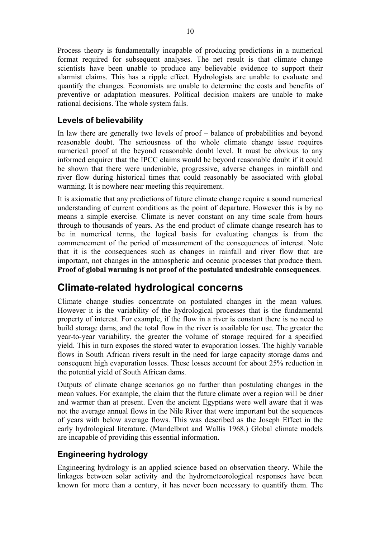<span id="page-9-0"></span>Process theory is fundamentally incapable of producing predictions in a numerical format required for subsequent analyses. The net result is that climate change scientists have been unable to produce any believable evidence to support their alarmist claims. This has a ripple effect. Hydrologists are unable to evaluate and quantify the changes. Economists are unable to determine the costs and benefits of preventive or adaptation measures. Political decision makers are unable to make rational decisions. The whole system fails.

### **Levels of believability**

In law there are generally two levels of proof – balance of probabilities and beyond reasonable doubt. The seriousness of the whole climate change issue requires numerical proof at the beyond reasonable doubt level. It must be obvious to any informed enquirer that the IPCC claims would be beyond reasonable doubt if it could be shown that there were undeniable, progressive, adverse changes in rainfall and river flow during historical times that could reasonably be associated with global warming. It is nowhere near meeting this requirement.

It is axiomatic that any predictions of future climate change require a sound numerical understanding of current conditions as the point of departure. However this is by no means a simple exercise. Climate is never constant on any time scale from hours through to thousands of years. As the end product of climate change research has to be in numerical terms, the logical basis for evaluating changes is from the commencement of the period of measurement of the consequences of interest. Note that it is the consequences such as changes in rainfall and river flow that are important, not changes in the atmospheric and oceanic processes that produce them. **Proof of global warming is not proof of the postulated undesirable consequences**.

## **Climate-related hydrological concerns**

Climate change studies concentrate on postulated changes in the mean values. However it is the variability of the hydrological processes that is the fundamental property of interest. For example, if the flow in a river is constant there is no need to build storage dams, and the total flow in the river is available for use. The greater the year-to-year variability, the greater the volume of storage required for a specified yield. This in turn exposes the stored water to evaporation losses. The highly variable flows in South African rivers result in the need for large capacity storage dams and consequent high evaporation losses. These losses account for about 25% reduction in the potential yield of South African dams.

Outputs of climate change scenarios go no further than postulating changes in the mean values. For example, the claim that the future climate over a region will be drier and warmer than at present. Even the ancient Egyptians were well aware that it was not the average annual flows in the Nile River that were important but the sequences of years with below average flows. This was described as the Joseph Effect in the early hydrological literature. (Mandelbrot and Wallis 1968.) Global climate models are incapable of providing this essential information.

### **Engineering hydrology**

Engineering hydrology is an applied science based on observation theory. While the linkages between solar activity and the hydrometeorological responses have been known for more than a century, it has never been necessary to quantify them. The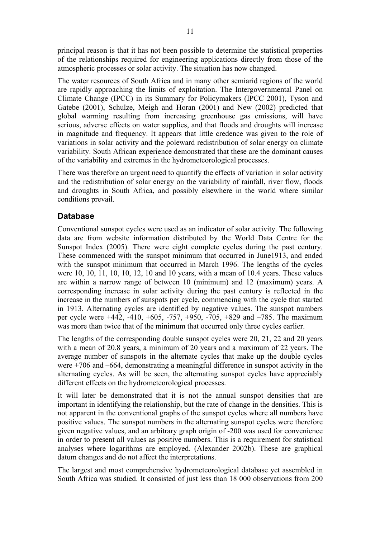<span id="page-10-0"></span>principal reason is that it has not been possible to determine the statistical properties of the relationships required for engineering applications directly from those of the atmospheric processes or solar activity. The situation has now changed.

The water resources of South Africa and in many other semiarid regions of the world are rapidly approaching the limits of exploitation. The Intergovernmental Panel on Climate Change (IPCC) in its Summary for Policymakers (IPCC 2001), Tyson and Gatebe (2001), Schulze, Meigh and Horan (2001) and New (2002) predicted that global warming resulting from increasing greenhouse gas emissions, will have serious, adverse effects on water supplies, and that floods and droughts will increase in magnitude and frequency. It appears that little credence was given to the role of variations in solar activity and the poleward redistribution of solar energy on climate variability. South African experience demonstrated that these are the dominant causes of the variability and extremes in the hydrometeorological processes.

There was therefore an urgent need to quantify the effects of variation in solar activity and the redistribution of solar energy on the variability of rainfall, river flow, floods and droughts in South Africa, and possibly elsewhere in the world where similar conditions prevail.

### **Database**

Conventional sunspot cycles were used as an indicator of solar activity. The following data are from website information distributed by the World Data Centre for the Sunspot Index (2005). There were eight complete cycles during the past century. These commenced with the sunspot minimum that occurred in June1913, and ended with the sunspot minimum that occurred in March 1996. The lengths of the cycles were 10, 10, 11, 10, 10, 12, 10 and 10 years, with a mean of 10.4 years. These values are within a narrow range of between 10 (minimum) and 12 (maximum) years. A corresponding increase in solar activity during the past century is reflected in the increase in the numbers of sunspots per cycle, commencing with the cycle that started in 1913. Alternating cycles are identified by negative values. The sunspot numbers per cycle were +442, -410, +605, -757, +950, -705, +829 and –785. The maximum was more than twice that of the minimum that occurred only three cycles earlier.

The lengths of the corresponding double sunspot cycles were 20, 21, 22 and 20 years with a mean of 20.8 years, a minimum of 20 years and a maximum of 22 years. The average number of sunspots in the alternate cycles that make up the double cycles were +706 and –664, demonstrating a meaningful difference in sunspot activity in the alternating cycles. As will be seen, the alternating sunspot cycles have appreciably different effects on the hydrometeorological processes.

It will later be demonstrated that it is not the annual sunspot densities that are important in identifying the relationship, but the rate of change in the densities. This is not apparent in the conventional graphs of the sunspot cycles where all numbers have positive values. The sunspot numbers in the alternating sunspot cycles were therefore given negative values, and an arbitrary graph origin of -200 was used for convenience in order to present all values as positive numbers. This is a requirement for statistical analyses where logarithms are employed. (Alexander 2002b). These are graphical datum changes and do not affect the interpretations.

The largest and most comprehensive hydrometeorological database yet assembled in South Africa was studied. It consisted of just less than 18 000 observations from 200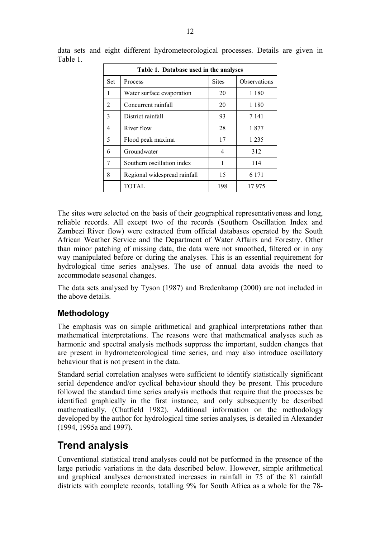| Table 1. Database used in the analyses |                              |              |              |  |  |
|----------------------------------------|------------------------------|--------------|--------------|--|--|
| Set                                    | Process                      | <b>Sites</b> | Observations |  |  |
| 1                                      | Water surface evaporation    | 20           | 1 1 8 0      |  |  |
| $\overline{2}$                         | Concurrent rainfall          | 20           | 1 1 8 0      |  |  |
| 3                                      | District rainfall            | 93           | 7 1 4 1      |  |  |
| 4                                      | River flow                   | 28           | 1877         |  |  |
| 5                                      | Flood peak maxima            | 17           | 1 2 3 5      |  |  |
| 6                                      | Groundwater                  | 4            | 312          |  |  |
| 7                                      | Southern oscillation index   | 1            | 114          |  |  |
| 8                                      | Regional widespread rainfall | 15           | 6 1 7 1      |  |  |
|                                        | TOTAL                        | 198          | 17975        |  |  |

<span id="page-11-0"></span>data sets and eight different hydrometeorological processes. Details are given in Table 1.

The sites were selected on the basis of their geographical representativeness and long, reliable records. All except two of the records (Southern Oscillation Index and Zambezi River flow) were extracted from official databases operated by the South African Weather Service and the Department of Water Affairs and Forestry. Other than minor patching of missing data, the data were not smoothed, filtered or in any way manipulated before or during the analyses. This is an essential requirement for hydrological time series analyses. The use of annual data avoids the need to accommodate seasonal changes.

The data sets analysed by Tyson (1987) and Bredenkamp (2000) are not included in the above details.

### **Methodology**

The emphasis was on simple arithmetical and graphical interpretations rather than mathematical interpretations. The reasons were that mathematical analyses such as harmonic and spectral analysis methods suppress the important, sudden changes that are present in hydrometeorological time series, and may also introduce oscillatory behaviour that is not present in the data.

Standard serial correlation analyses were sufficient to identify statistically significant serial dependence and/or cyclical behaviour should they be present. This procedure followed the standard time series analysis methods that require that the processes be identified graphically in the first instance, and only subsequently be described mathematically. (Chatfield 1982). Additional information on the methodology developed by the author for hydrological time series analyses, is detailed in Alexander (1994, 1995a and 1997).

## **Trend analysis**

Conventional statistical trend analyses could not be performed in the presence of the large periodic variations in the data described below. However, simple arithmetical and graphical analyses demonstrated increases in rainfall in 75 of the 81 rainfall districts with complete records, totalling 9% for South Africa as a whole for the 78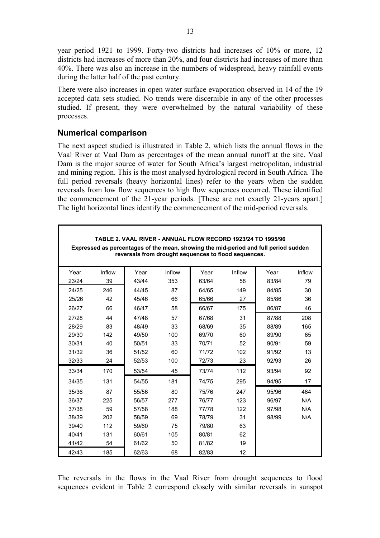<span id="page-12-0"></span>year period 1921 to 1999. Forty-two districts had increases of 10% or more, 12 districts had increases of more than 20%, and four districts had increases of more than 40%. There was also an increase in the numbers of widespread, heavy rainfall events during the latter half of the past century.

There were also increases in open water surface evaporation observed in 14 of the 19 accepted data sets studied. No trends were discernible in any of the other processes studied. If present, they were overwhelmed by the natural variability of these processes.

#### **Numerical comparison**

The next aspect studied is illustrated in Table 2, which lists the annual flows in the Vaal River at Vaal Dam as percentages of the mean annual runoff at the site. Vaal Dam is the major source of water for South Africa's largest metropolitan, industrial and mining region. This is the most analysed hydrological record in South Africa. The full period reversals (heavy horizontal lines) refer to the years when the sudden reversals from low flow sequences to high flow sequences occurred. These identified the commencement of the 21-year periods. [These are not exactly 21-years apart.] The light horizontal lines identify the commencement of the mid-period reversals.

| TABLE 2. VAAL RIVER - ANNUAL FLOW RECORD 1923/24 TO 1995/96<br>Expressed as percentages of the mean, showing the mid-period and full period sudden<br>reversals from drought sequences to flood sequences. |        |       |        |       |        |       |        |
|------------------------------------------------------------------------------------------------------------------------------------------------------------------------------------------------------------|--------|-------|--------|-------|--------|-------|--------|
| Year                                                                                                                                                                                                       | Inflow | Year  | Inflow | Year  | Inflow | Year  | Inflow |
| 23/24                                                                                                                                                                                                      | 39     | 43/44 | 353    | 63/64 | 58     | 83/84 | 79     |
| 24/25                                                                                                                                                                                                      | 246    | 44/45 | 87     | 64/65 | 149    | 84/85 | 30     |
| 25/26                                                                                                                                                                                                      | 42     | 45/46 | 66     | 65/66 | 27     | 85/86 | 36     |
| 26/27                                                                                                                                                                                                      | 66     | 46/47 | 58     | 66/67 | 175    | 86/87 | 46     |
| 27/28                                                                                                                                                                                                      | 44     | 47/48 | 57     | 67/68 | 31     | 87/88 | 208    |
| 28/29                                                                                                                                                                                                      | 83     | 48/49 | 33     | 68/69 | 35     | 88/89 | 165    |
| 29/30                                                                                                                                                                                                      | 142    | 49/50 | 100    | 69/70 | 60     | 89/90 | 65     |
| 30/31                                                                                                                                                                                                      | 40     | 50/51 | 33     | 70/71 | 52     | 90/91 | 59     |
| 31/32                                                                                                                                                                                                      | 36     | 51/52 | 60     | 71/72 | 102    | 91/92 | 13     |
| 32/33                                                                                                                                                                                                      | 24     | 52/53 | 100    | 72/73 | 23     | 92/93 | 26     |
| 33/34                                                                                                                                                                                                      | 170    | 53/54 | 45     | 73/74 | 112    | 93/94 | 92     |
| 34/35                                                                                                                                                                                                      | 131    | 54/55 | 181    | 74/75 | 295    | 94/95 | 17     |
| 35/36                                                                                                                                                                                                      | 87     | 55/56 | 80     | 75/76 | 247    | 95/96 | 464    |
| 36/37                                                                                                                                                                                                      | 225    | 56/57 | 277    | 76/77 | 123    | 96/97 | N/A    |
| 37/38                                                                                                                                                                                                      | 59     | 57/58 | 188    | 77/78 | 122    | 97/98 | N/A    |
| 38/39                                                                                                                                                                                                      | 202    | 58/59 | 69     | 78/79 | 31     | 98/99 | N/A    |
| 39/40                                                                                                                                                                                                      | 112    | 59/60 | 75     | 79/80 | 63     |       |        |
| 40/41                                                                                                                                                                                                      | 131    | 60/61 | 105    | 80/81 | 62     |       |        |
| 41/42                                                                                                                                                                                                      | 54     | 61/62 | 50     | 81/82 | 19     |       |        |
| 42/43                                                                                                                                                                                                      | 185    | 62/63 | 68     | 82/83 | 12     |       |        |

The reversals in the flows in the Vaal River from drought sequences to flood sequences evident in Table 2 correspond closely with similar reversals in sunspot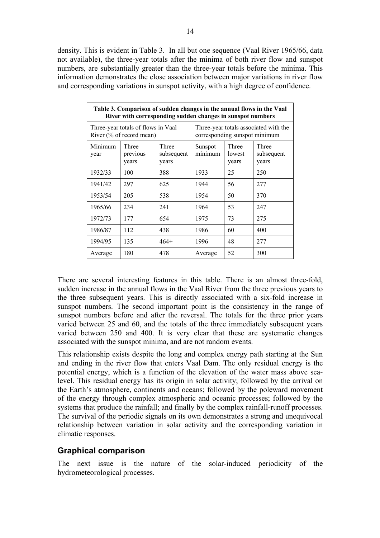<span id="page-13-0"></span>density. This is evident in Table 3. In all but one sequence (Vaal River 1965/66, data not available), the three-year totals after the minima of both river flow and sunspot numbers, are substantially greater than the three-year totals before the minima. This information demonstrates the close association between major variations in river flow and corresponding variations in sunspot activity, with a high degree of confidence.

| Table 3. Comparison of sudden changes in the annual flows in the Vaal<br>River with corresponding sudden changes in sunspot numbers |                            |                                                                        |                                                                                |    |     |  |
|-------------------------------------------------------------------------------------------------------------------------------------|----------------------------|------------------------------------------------------------------------|--------------------------------------------------------------------------------|----|-----|--|
| Three-year totals of flows in Vaal<br>River (% of record mean)                                                                      |                            | Three-year totals associated with the<br>corresponding sunspot minimum |                                                                                |    |     |  |
| Minimum<br>year                                                                                                                     | Three<br>previous<br>years | Three<br>subsequent<br>years                                           | Three<br>Three<br>Sunspot<br>minimum<br>lowest<br>subsequent<br>years<br>years |    |     |  |
| 1932/33                                                                                                                             | 100                        | 388                                                                    | 1933                                                                           | 25 | 250 |  |
| 1941/42                                                                                                                             | 297                        | 625                                                                    | 1944                                                                           | 56 | 277 |  |
| 1953/54                                                                                                                             | 205                        | 538                                                                    | 1954                                                                           | 50 | 370 |  |
| 1965/66                                                                                                                             | 234                        | 241                                                                    | 1964                                                                           | 53 | 247 |  |
| 1972/73                                                                                                                             | 177                        | 654                                                                    | 1975                                                                           | 73 | 275 |  |
| 1986/87                                                                                                                             | 112                        | 438                                                                    | 1986                                                                           | 60 | 400 |  |
| 1994/95                                                                                                                             | 135                        | $464+$                                                                 | 1996                                                                           | 48 | 277 |  |
| Average                                                                                                                             | 180                        | 478                                                                    | Average                                                                        | 52 | 300 |  |

There are several interesting features in this table. There is an almost three-fold, sudden increase in the annual flows in the Vaal River from the three previous years to the three subsequent years. This is directly associated with a six-fold increase in sunspot numbers. The second important point is the consistency in the range of sunspot numbers before and after the reversal. The totals for the three prior years varied between 25 and 60, and the totals of the three immediately subsequent years varied between 250 and 400. It is very clear that these are systematic changes associated with the sunspot minima, and are not random events.

This relationship exists despite the long and complex energy path starting at the Sun and ending in the river flow that enters Vaal Dam. The only residual energy is the potential energy, which is a function of the elevation of the water mass above sealevel. This residual energy has its origin in solar activity; followed by the arrival on the Earth's atmosphere, continents and oceans; followed by the poleward movement of the energy through complex atmospheric and oceanic processes; followed by the systems that produce the rainfall; and finally by the complex rainfall-runoff processes. The survival of the periodic signals on its own demonstrates a strong and unequivocal relationship between variation in solar activity and the corresponding variation in climatic responses.

#### **Graphical comparison**

The next issue is the nature of the solar-induced periodicity of the hydrometeorological processes.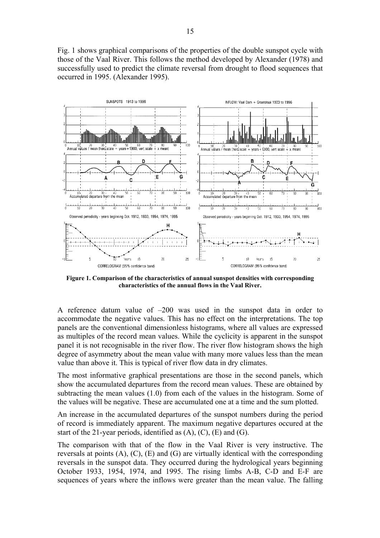Fig. 1 shows graphical comparisons of the properties of the double sunspot cycle with those of the Vaal River. This follows the method developed by Alexander (1978) and successfully used to predict the climate reversal from drought to flood sequences that occurred in 1995. (Alexander 1995).



**Figure 1. Comparison of the characteristics of annual sunspot densities with corresponding characteristics of the annual flows in the Vaal River.** 

A reference datum value of –200 was used in the sunspot data in order to accommodate the negative values. This has no effect on the interpretations. The top panels are the conventional dimensionless histograms, where all values are expressed as multiples of the record mean values. While the cyclicity is apparent in the sunspot panel it is not recognisable in the river flow. The river flow histogram shows the high degree of asymmetry about the mean value with many more values less than the mean value than above it. This is typical of river flow data in dry climates.

The most informative graphical presentations are those in the second panels, which show the accumulated departures from the record mean values. These are obtained by subtracting the mean values (1.0) from each of the values in the histogram. Some of the values will be negative. These are accumulated one at a time and the sum plotted.

An increase in the accumulated departures of the sunspot numbers during the period of record is immediately apparent. The maximum negative departures occured at the start of the 21-year periods, identified as  $(A)$ ,  $(C)$ ,  $(E)$  and  $(G)$ .

The comparison with that of the flow in the Vaal River is very instructive. The reversals at points (A), (C), (E) and (G) are virtually identical with the corresponding reversals in the sunspot data. They occurred during the hydrological years beginning October 1933, 1954, 1974, and 1995. The rising limbs A-B, C-D and E-F are sequences of years where the inflows were greater than the mean value. The falling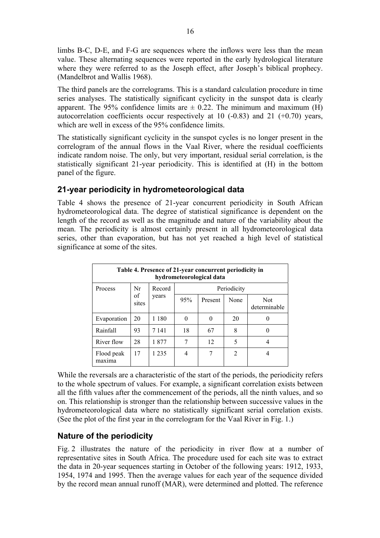<span id="page-15-0"></span>limbs B-C, D-E, and F-G are sequences where the inflows were less than the mean value. These alternating sequences were reported in the early hydrological literature where they were referred to as the Joseph effect, after Joseph's biblical prophecy. (Mandelbrot and Wallis 1968).

The third panels are the correlograms. This is a standard calculation procedure in time series analyses. The statistically significant cyclicity in the sunspot data is clearly apparent. The 95% confidence limits are  $\pm$  0.22. The minimum and maximum (H) autocorrelation coefficients occur respectively at 10  $(-0.83)$  and 21  $(+0.70)$  years, which are well in excess of the 95% confidence limits.

The statistically significant cyclicity in the sunspot cycles is no longer present in the correlogram of the annual flows in the Vaal River, where the residual coefficients indicate random noise. The only, but very important, residual serial correlation, is the statistically significant 21-year periodicity. This is identified at (H) in the bottom panel of the figure.

### **21-year periodicity in hydrometeorological data**

Table 4 shows the presence of 21-year concurrent periodicity in South African hydrometeorological data. The degree of statistical significance is dependent on the length of the record as well as the magnitude and nature of the variability about the mean. The periodicity is almost certainly present in all hydrometeorological data series, other than evaporation, but has not yet reached a high level of statistical significance at some of the sites.

| Table 4. Presence of 21-year concurrent periodicity in<br>hydrometeorological data |             |         |          |         |                |                     |
|------------------------------------------------------------------------------------|-------------|---------|----------|---------|----------------|---------------------|
| Nr<br>Periodicity<br>Process<br>Record                                             |             |         |          |         |                |                     |
|                                                                                    | of<br>sites | years   | 95%      | Present | None           | Not<br>determinable |
| Evaporation                                                                        | 20          | 1 180   | $\theta$ |         | 20             | $\left( \right)$    |
| Rainfall                                                                           | 93          | 7 1 4 1 | 18       | 67      | 8              |                     |
| River flow                                                                         | 28          | 1877    | 7        | 12      | 5              | 4                   |
| Flood peak<br>maxima                                                               | 17          | 1 2 3 5 | 4        |         | $\overline{2}$ |                     |

While the reversals are a characteristic of the start of the periods, the periodicity refers to the whole spectrum of values. For example, a significant correlation exists between all the fifth values after the commencement of the periods, all the ninth values, and so on. This relationship is stronger than the relationship between successive values in the hydrometeorological data where no statistically significant serial correlation exists. (See the plot of the first year in the correlogram for the Vaal River in Fig. 1.)

### **Nature of the periodicity**

Fig. 2 illustrates the nature of the periodicity in river flow at a number of representative sites in South Africa. The procedure used for each site was to extract the data in 20-year sequences starting in October of the following years: 1912, 1933, 1954, 1974 and 1995. Then the average values for each year of the sequence divided by the record mean annual runoff (MAR), were determined and plotted. The reference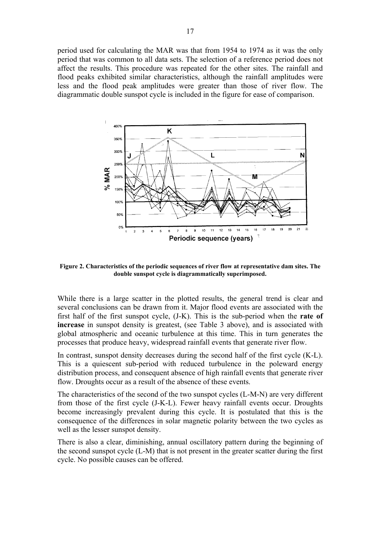period used for calculating the MAR was that from 1954 to 1974 as it was the only period that was common to all data sets. The selection of a reference period does not affect the results. This procedure was repeated for the other sites. The rainfall and flood peaks exhibited similar characteristics, although the rainfall amplitudes were less and the flood peak amplitudes were greater than those of river flow. The diagrammatic double sunspot cycle is included in the figure for ease of comparison.



**Figure 2. Characteristics of the periodic sequences of river flow at representative dam sites. The double sunspot cycle is diagrammatically superimposed.** 

While there is a large scatter in the plotted results, the general trend is clear and several conclusions can be drawn from it. Major flood events are associated with the first half of the first sunspot cycle, (J-K). This is the sub-period when the **rate of increase** in sunspot density is greatest, (see Table 3 above), and is associated with global atmospheric and oceanic turbulence at this time. This in turn generates the processes that produce heavy, widespread rainfall events that generate river flow.

In contrast, sunspot density decreases during the second half of the first cycle (K-L). This is a quiescent sub-period with reduced turbulence in the poleward energy distribution process, and consequent absence of high rainfall events that generate river flow. Droughts occur as a result of the absence of these events.

The characteristics of the second of the two sunspot cycles (L-M-N) are very different from those of the first cycle (J-K-L). Fewer heavy rainfall events occur. Droughts become increasingly prevalent during this cycle. It is postulated that this is the consequence of the differences in solar magnetic polarity between the two cycles as well as the lesser sunspot density.

There is also a clear, diminishing, annual oscillatory pattern during the beginning of the second sunspot cycle (L-M) that is not present in the greater scatter during the first cycle. No possible causes can be offered.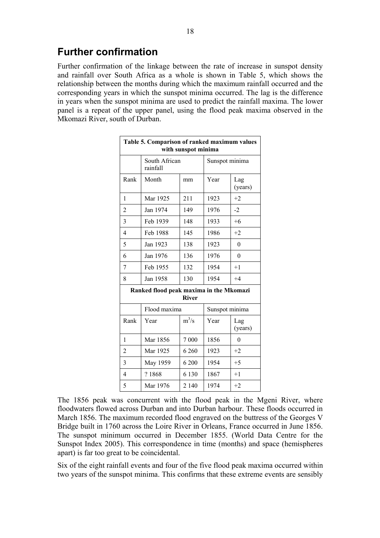<span id="page-17-0"></span>Further confirmation of the linkage between the rate of increase in sunspot density and rainfall over South Africa as a whole is shown in Table 5, which shows the relationship between the months during which the maximum rainfall occurred and the corresponding years in which the sunspot minima occurred. The lag is the difference in years when the sunspot minima are used to predict the rainfall maxima. The lower panel is a repeat of the upper panel, using the flood peak maxima observed in the Mkomazi River, south of Durban.

| Table 5. Comparison of ranked maximum values<br>with sunspot minima |                           |         |                |                |  |  |
|---------------------------------------------------------------------|---------------------------|---------|----------------|----------------|--|--|
|                                                                     | South African<br>rainfall |         | Sunspot minima |                |  |  |
| Rank                                                                | Month                     | mm      | Year           | Lag<br>(years) |  |  |
| 1                                                                   | Mar 1925                  | 211     | 1923           | $+2$           |  |  |
| $\overline{2}$                                                      | Jan 1974                  | 149     | 1976           | $-2$           |  |  |
| 3                                                                   | Feb 1939                  | 148     | 1933           | $+6$           |  |  |
| $\overline{4}$                                                      | Feb 1988                  | 145     | 1986           | $+2$           |  |  |
| 5                                                                   | Jan 1923                  | 138     | 1923           | $\theta$       |  |  |
| 6                                                                   | Jan 1976                  | 136     | 1976           | $\theta$       |  |  |
| 7                                                                   | Feb 1955                  | 132     | 1954           | $+1$           |  |  |
| 8                                                                   | Jan 1958                  | 130     | 1954           | $+4$           |  |  |
| Ranked flood peak maxima in the Mkomazi<br><b>River</b>             |                           |         |                |                |  |  |
|                                                                     | Flood maxima              |         | Sunspot minima |                |  |  |
| Rank                                                                | Year                      | $m^3/s$ | Year           | Lag<br>(years) |  |  |
| 1                                                                   | Mar 1856                  | 7 0 0 0 | 1856           | $\theta$       |  |  |
| $\overline{2}$                                                      | Mar 1925                  | 6 260   | 1923           | $+2$           |  |  |
| 3                                                                   | May 1959                  | 6 200   | 1954           | $+5$           |  |  |
| $\overline{4}$                                                      | ?1868                     | 6 1 3 0 | 1867           | $+1$           |  |  |
| 5                                                                   | Mar 1976                  | 2 1 4 0 | 1974           | $+2$           |  |  |

The 1856 peak was concurrent with the flood peak in the Mgeni River, where floodwaters flowed across Durban and into Durban harbour. These floods occurred in March 1856. The maximum recorded flood engraved on the buttress of the Georges V Bridge built in 1760 across the Loire River in Orleans, France occurred in June 1856. The sunspot minimum occurred in December 1855. (World Data Centre for the Sunspot Index 2005). This correspondence in time (months) and space (hemispheres apart) is far too great to be coincidental.

Six of the eight rainfall events and four of the five flood peak maxima occurred within two years of the sunspot minima. This confirms that these extreme events are sensibly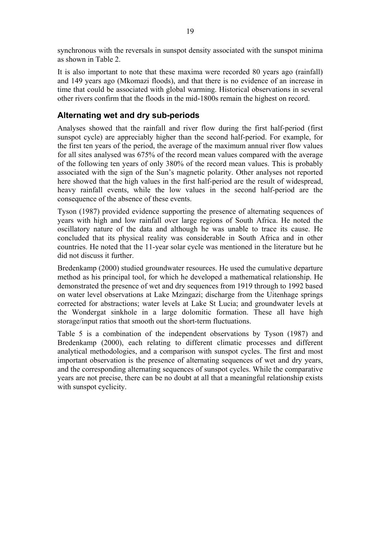<span id="page-18-0"></span>synchronous with the reversals in sunspot density associated with the sunspot minima as shown in Table 2.

It is also important to note that these maxima were recorded 80 years ago (rainfall) and 149 years ago (Mkomazi floods), and that there is no evidence of an increase in time that could be associated with global warming. Historical observations in several other rivers confirm that the floods in the mid-1800s remain the highest on record.

#### **Alternating wet and dry sub-periods**

Analyses showed that the rainfall and river flow during the first half-period (first sunspot cycle) are appreciably higher than the second half-period. For example, for the first ten years of the period, the average of the maximum annual river flow values for all sites analysed was 675% of the record mean values compared with the average of the following ten years of only 380% of the record mean values. This is probably associated with the sign of the Sun's magnetic polarity. Other analyses not reported here showed that the high values in the first half-period are the result of widespread, heavy rainfall events, while the low values in the second half-period are the consequence of the absence of these events.

Tyson (1987) provided evidence supporting the presence of alternating sequences of years with high and low rainfall over large regions of South Africa. He noted the oscillatory nature of the data and although he was unable to trace its cause. He concluded that its physical reality was considerable in South Africa and in other countries. He noted that the 11-year solar cycle was mentioned in the literature but he did not discuss it further.

Bredenkamp (2000) studied groundwater resources. He used the cumulative departure method as his principal tool, for which he developed a mathematical relationship. He demonstrated the presence of wet and dry sequences from 1919 through to 1992 based on water level observations at Lake Mzingazi; discharge from the Uitenhage springs corrected for abstractions; water levels at Lake St Lucia; and groundwater levels at the Wondergat sinkhole in a large dolomitic formation. These all have high storage/input ratios that smooth out the short-term fluctuations.

Table 5 is a combination of the independent observations by Tyson (1987) and Bredenkamp (2000), each relating to different climatic processes and different analytical methodologies, and a comparison with sunspot cycles. The first and most important observation is the presence of alternating sequences of wet and dry years, and the corresponding alternating sequences of sunspot cycles. While the comparative years are not precise, there can be no doubt at all that a meaningful relationship exists with sunspot cyclicity.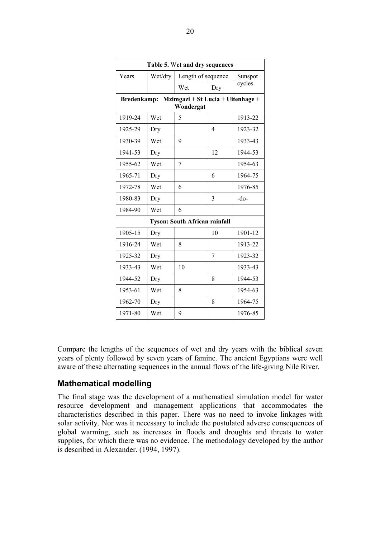<span id="page-19-0"></span>

| Table 5. Wet and dry sequences |                                                                      |                                      |                |                   |  |  |
|--------------------------------|----------------------------------------------------------------------|--------------------------------------|----------------|-------------------|--|--|
| Years                          | Wet/dry                                                              | Length of sequence                   |                | Sunspot<br>cycles |  |  |
|                                |                                                                      | Wet                                  | Dry            |                   |  |  |
|                                | Mzimgazi + St Lucia + Uitenhage +<br><b>Bredenkamp:</b><br>Wondergat |                                      |                |                   |  |  |
| 1919-24                        | Wet                                                                  | 5                                    |                | 1913-22           |  |  |
| 1925-29                        | Dry                                                                  |                                      | $\overline{4}$ | 1923-32           |  |  |
| 1930-39                        | Wet                                                                  | 9                                    |                | 1933-43           |  |  |
| 1941-53                        | Dry                                                                  |                                      | 12             | 1944-53           |  |  |
| 1955-62                        | Wet                                                                  | 7                                    |                | 1954-63           |  |  |
| 1965-71                        | Dry                                                                  |                                      | 6              | 1964-75           |  |  |
| 1972-78                        | Wet                                                                  | 6                                    |                | 1976-85           |  |  |
| 1980-83                        | Dry                                                                  |                                      | 3              | -do-              |  |  |
| 1984-90                        | Wet                                                                  | 6                                    |                |                   |  |  |
|                                |                                                                      | <b>Tyson: South African rainfall</b> |                |                   |  |  |
| 1905-15                        | Dry                                                                  |                                      | 10             | 1901-12           |  |  |
| 1916-24                        | Wet                                                                  | 8                                    |                | 1913-22           |  |  |
| 1925-32                        | Dry                                                                  |                                      | 7              | 1923-32           |  |  |
| 1933-43                        | Wet                                                                  | 10                                   |                | 1933-43           |  |  |
| 1944-52                        | Dry                                                                  |                                      | 8              | 1944-53           |  |  |
| 1953-61                        | Wet                                                                  | 8                                    |                | 1954-63           |  |  |
| 1962-70                        | Dry                                                                  |                                      | 8              | 1964-75           |  |  |
| 1971-80                        | Wet                                                                  | 9                                    |                | 1976-85           |  |  |

Compare the lengths of the sequences of wet and dry years with the biblical seven years of plenty followed by seven years of famine. The ancient Egyptians were well aware of these alternating sequences in the annual flows of the life-giving Nile River.

#### **Mathematical modelling**

The final stage was the development of a mathematical simulation model for water resource development and management applications that accommodates the characteristics described in this paper. There was no need to invoke linkages with solar activity. Nor was it necessary to include the postulated adverse consequences of global warming, such as increases in floods and droughts and threats to water supplies, for which there was no evidence. The methodology developed by the author is described in Alexander. (1994, 1997).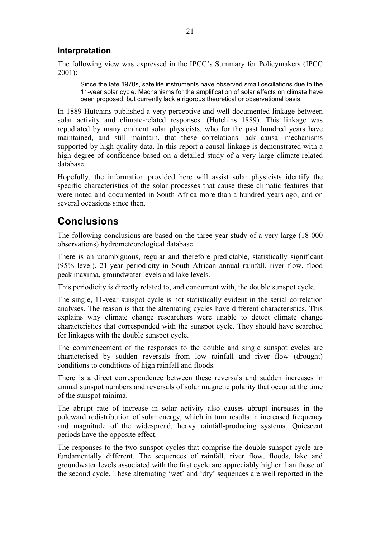#### <span id="page-20-0"></span>**Interpretation**

The following view was expressed in the IPCC's Summary for Policymakers (IPCC 2001):

Since the late 1970s, satellite instruments have observed small oscillations due to the 11-year solar cycle. Mechanisms for the amplification of solar effects on climate have been proposed, but currently lack a rigorous theoretical or observational basis.

In 1889 Hutchins published a very perceptive and well-documented linkage between solar activity and climate-related responses. (Hutchins 1889). This linkage was repudiated by many eminent solar physicists, who for the past hundred years have maintained, and still maintain, that these correlations lack causal mechanisms supported by high quality data. In this report a causal linkage is demonstrated with a high degree of confidence based on a detailed study of a very large climate-related database.

Hopefully, the information provided here will assist solar physicists identify the specific characteristics of the solar processes that cause these climatic features that were noted and documented in South Africa more than a hundred years ago, and on several occasions since then.

## **Conclusions**

The following conclusions are based on the three-year study of a very large (18 000 observations) hydrometeorological database.

There is an unambiguous, regular and therefore predictable, statistically significant (95% level), 21-year periodicity in South African annual rainfall, river flow, flood peak maxima, groundwater levels and lake levels.

This periodicity is directly related to, and concurrent with, the double sunspot cycle.

The single, 11-year sunspot cycle is not statistically evident in the serial correlation analyses. The reason is that the alternating cycles have different characteristics. This explains why climate change researchers were unable to detect climate change characteristics that corresponded with the sunspot cycle. They should have searched for linkages with the double sunspot cycle.

The commencement of the responses to the double and single sunspot cycles are characterised by sudden reversals from low rainfall and river flow (drought) conditions to conditions of high rainfall and floods.

There is a direct correspondence between these reversals and sudden increases in annual sunspot numbers and reversals of solar magnetic polarity that occur at the time of the sunspot minima.

The abrupt rate of increase in solar activity also causes abrupt increases in the poleward redistribution of solar energy, which in turn results in increased frequency and magnitude of the widespread, heavy rainfall-producing systems. Quiescent periods have the opposite effect.

The responses to the two sunspot cycles that comprise the double sunspot cycle are fundamentally different. The sequences of rainfall, river flow, floods, lake and groundwater levels associated with the first cycle are appreciably higher than those of the second cycle. These alternating 'wet' and 'dry' sequences are well reported in the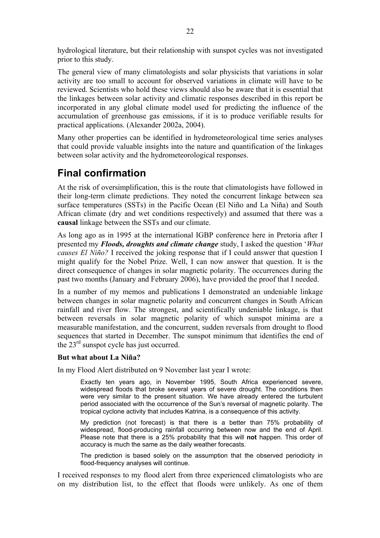<span id="page-21-0"></span>hydrological literature, but their relationship with sunspot cycles was not investigated prior to this study.

The general view of many climatologists and solar physicists that variations in solar activity are too small to account for observed variations in climate will have to be reviewed. Scientists who hold these views should also be aware that it is essential that the linkages between solar activity and climatic responses described in this report be incorporated in any global climate model used for predicting the influence of the accumulation of greenhouse gas emissions, if it is to produce verifiable results for practical applications. (Alexander 2002a, 2004).

Many other properties can be identified in hydrometeorological time series analyses that could provide valuable insights into the nature and quantification of the linkages between solar activity and the hydrometeorological responses.

## **Final confirmation**

At the risk of oversimplification, this is the route that climatologists have followed in their long-term climate predictions. They noted the concurrent linkage between sea surface temperatures (SSTs) in the Pacific Ocean (El Niño and La Niña) and South African climate (dry and wet conditions respectively) and assumed that there was a **causal** linkage between the SSTs and our climate.

As long ago as in 1995 at the international IGBP conference here in Pretoria after I presented my *Floods, droughts and climate change* study, I asked the question '*What causes El Niño?* I received the joking response that if I could answer that question I might qualify for the Nobel Prize. Well, I can now answer that question. It is the direct consequence of changes in solar magnetic polarity. The occurrences during the past two months (January and February 2006), have provided the proof that I needed.

In a number of my memos and publications I demonstrated an undeniable linkage between changes in solar magnetic polarity and concurrent changes in South African rainfall and river flow. The strongest, and scientifically undeniable linkage, is that between reversals in solar magnetic polarity of which sunspot minima are a measurable manifestation, and the concurrent, sudden reversals from drought to flood sequences that started in December. The sunspot minimum that identifies the end of the 23rd sunspot cycle has just occurred.

#### **But what about La Niña?**

In my Flood Alert distributed on 9 November last year I wrote:

Exactly ten years ago, in November 1995, South Africa experienced severe, widespread floods that broke several years of severe drought. The conditions then were very similar to the present situation. We have already entered the turbulent period associated with the occurrence of the Sun's reversal of magnetic polarity. The tropical cyclone activity that includes Katrina, is a consequence of this activity.

My prediction (not forecast) is that there is a better than 75% probability of widespread, flood-producing rainfall occurring between now and the end of April. Please note that there is a 25% probability that this will **not** happen. This order of accuracy is much the same as the daily weather forecasts.

The prediction is based solely on the assumption that the observed periodicity in flood-frequency analyses will continue.

I received responses to my flood alert from three experienced climatologists who are on my distribution list, to the effect that floods were unlikely. As one of them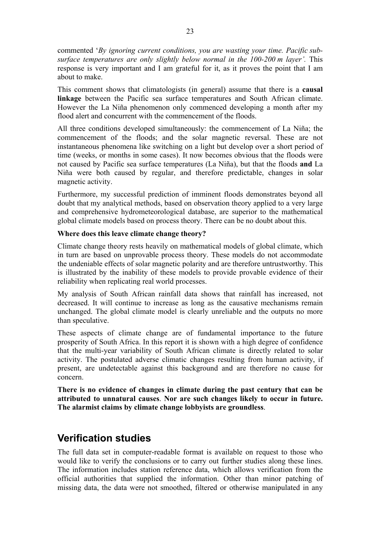<span id="page-22-0"></span>commented '*By ignoring current conditions, you are wasting your time. Pacific subsurface temperatures are only slightly below normal in the 100-200 m layer'.* This response is very important and I am grateful for it, as it proves the point that I am about to make.

This comment shows that climatologists (in general) assume that there is a **causal linkage** between the Pacific sea surface temperatures and South African climate. However the La Niña phenomenon only commenced developing a month after my flood alert and concurrent with the commencement of the floods.

All three conditions developed simultaneously: the commencement of La Niña; the commencement of the floods; and the solar magnetic reversal. These are not instantaneous phenomena like switching on a light but develop over a short period of time (weeks, or months in some cases). It now becomes obvious that the floods were not caused by Pacific sea surface temperatures (La Niña), but that the floods **and** La Niña were both caused by regular, and therefore predictable, changes in solar magnetic activity.

Furthermore, my successful prediction of imminent floods demonstrates beyond all doubt that my analytical methods, based on observation theory applied to a very large and comprehensive hydrometeorological database, are superior to the mathematical global climate models based on process theory. There can be no doubt about this.

#### **Where does this leave climate change theory?**

Climate change theory rests heavily on mathematical models of global climate, which in turn are based on unprovable process theory. These models do not accommodate the undeniable effects of solar magnetic polarity and are therefore untrustworthy. This is illustrated by the inability of these models to provide provable evidence of their reliability when replicating real world processes.

My analysis of South African rainfall data shows that rainfall has increased, not decreased. It will continue to increase as long as the causative mechanisms remain unchanged. The global climate model is clearly unreliable and the outputs no more than speculative.

These aspects of climate change are of fundamental importance to the future prosperity of South Africa. In this report it is shown with a high degree of confidence that the multi-year variability of South African climate is directly related to solar activity. The postulated adverse climatic changes resulting from human activity, if present, are undetectable against this background and are therefore no cause for concern.

**There is no evidence of changes in climate during the past century that can be attributed to unnatural causes**. **Nor are such changes likely to occur in future. The alarmist claims by climate change lobbyists are groundless**.

## **Verification studies**

The full data set in computer-readable format is available on request to those who would like to verify the conclusions or to carry out further studies along these lines. The information includes station reference data, which allows verification from the official authorities that supplied the information. Other than minor patching of missing data, the data were not smoothed, filtered or otherwise manipulated in any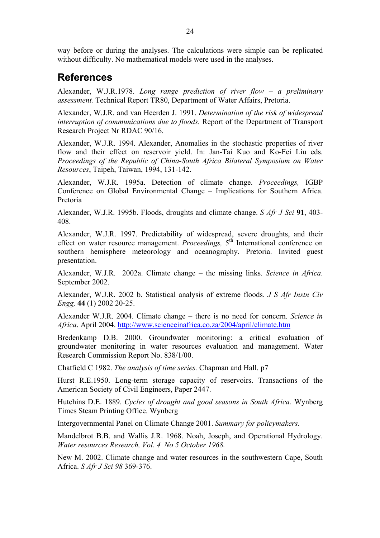<span id="page-23-0"></span>way before or during the analyses. The calculations were simple can be replicated without difficulty. No mathematical models were used in the analyses.

## **References**

Alexander, W.J.R.1978. *Long range prediction of river flow – a preliminary assessment.* Technical Report TR80, Department of Water Affairs, Pretoria.

Alexander, W.J.R. and van Heerden J. 1991. *Determination of the risk of widespread interruption of communications due to floods.* Report of the Department of Transport Research Project Nr RDAC 90/16.

Alexander, W.J.R. 1994. Alexander, Anomalies in the stochastic properties of river flow and their effect on reservoir yield. In: Jan-Tai Kuo and Ko-Fei Liu eds. *Proceedings of the Republic of China-South Africa Bilateral Symposium on Water Resources*, Taipeh, Taiwan, 1994, 131-142.

Alexander, W.J.R. 1995a. Detection of climate change. *Proceedings,* IGBP Conference on Global Environmental Change – Implications for Southern Africa. Pretoria

Alexander, W.J.R. 1995b. Floods, droughts and climate change. *S Afr J Sci* **91**, 403- 408.

Alexander, W.J.R. 1997. Predictability of widespread, severe droughts, and their effect on water resource management. *Proceedings*, 5<sup>th</sup> International conference on southern hemisphere meteorology and oceanography. Pretoria. Invited guest presentation.

Alexander, W.J.R. 2002a. Climate change – the missing links. *Science in Africa*. September 2002.

Alexander, W.J.R. 2002 b. Statistical analysis of extreme floods. *J S Afr Instn Civ Engg,* **44** (1) 2002 20-25.

Alexander W.J.R. 2004. Climate change – there is no need for concern. *Science in Africa*. April 2004.<http://www.scienceinafrica.co.za/2004/april/climate.htm>

Bredenkamp D.B. 2000. Groundwater monitoring: a critical evaluation of groundwater monitoring in water resources evaluation and management. Water Research Commission Report No. 838/1/00.

Chatfield C 1982. *The analysis of time series.* Chapman and Hall. p7

Hurst R.E.1950. Long-term storage capacity of reservoirs. Transactions of the American Society of Civil Engineers, Paper 2447.

Hutchins D.E. 1889. *Cycles of drought and good seasons in South Africa.* Wynberg Times Steam Printing Office. Wynberg

Intergovernmental Panel on Climate Change 2001. *Summary for policymakers.* 

Mandelbrot B.B. and Wallis J.R. 1968. Noah, Joseph, and Operational Hydrology. *Water resources Research, Vol. 4 No 5 October 1968.* 

New M. 2002. Climate change and water resources in the southwestern Cape, South Africa. *S Afr J Sci 98* 369-376.